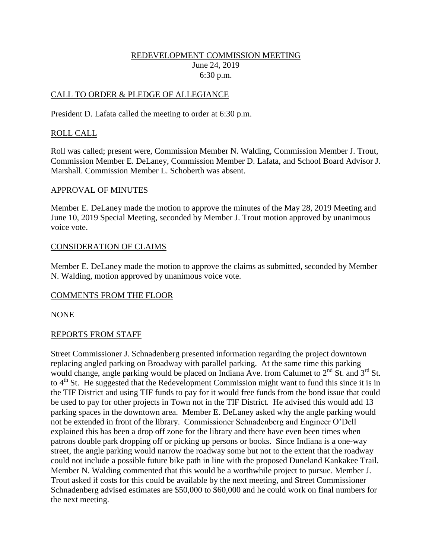### REDEVELOPMENT COMMISSION MEETING June 24, 2019 6:30 p.m.

### CALL TO ORDER & PLEDGE OF ALLEGIANCE

President D. Lafata called the meeting to order at 6:30 p.m.

### ROLL CALL

Roll was called; present were, Commission Member N. Walding, Commission Member J. Trout, Commission Member E. DeLaney, Commission Member D. Lafata, and School Board Advisor J. Marshall. Commission Member L. Schoberth was absent.

#### APPROVAL OF MINUTES

Member E. DeLaney made the motion to approve the minutes of the May 28, 2019 Meeting and June 10, 2019 Special Meeting, seconded by Member J. Trout motion approved by unanimous voice vote.

### CONSIDERATION OF CLAIMS

Member E. DeLaney made the motion to approve the claims as submitted, seconded by Member N. Walding, motion approved by unanimous voice vote.

### COMMENTS FROM THE FLOOR

NONE

### REPORTS FROM STAFF

Street Commissioner J. Schnadenberg presented information regarding the project downtown replacing angled parking on Broadway with parallel parking. At the same time this parking would change, angle parking would be placed on Indiana Ave. from Calumet to  $2<sup>nd</sup>$  St. and  $3<sup>rd</sup>$  St. to  $4<sup>th</sup>$  St. He suggested that the Redevelopment Commission might want to fund this since it is in the TIF District and using TIF funds to pay for it would free funds from the bond issue that could be used to pay for other projects in Town not in the TIF District. He advised this would add 13 parking spaces in the downtown area. Member E. DeLaney asked why the angle parking would not be extended in front of the library. Commissioner Schnadenberg and Engineer O'Dell explained this has been a drop off zone for the library and there have even been times when patrons double park dropping off or picking up persons or books. Since Indiana is a one-way street, the angle parking would narrow the roadway some but not to the extent that the roadway could not include a possible future bike path in line with the proposed Duneland Kankakee Trail. Member N. Walding commented that this would be a worthwhile project to pursue. Member J. Trout asked if costs for this could be available by the next meeting, and Street Commissioner Schnadenberg advised estimates are \$50,000 to \$60,000 and he could work on final numbers for the next meeting.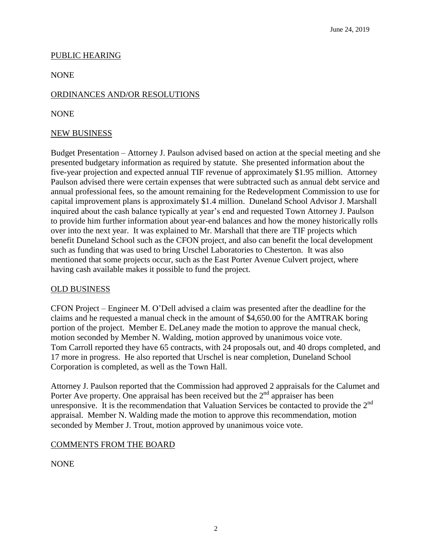### PUBLIC HEARING

NONE

## ORDINANCES AND/OR RESOLUTIONS

NONE

### NEW BUSINESS

Budget Presentation – Attorney J. Paulson advised based on action at the special meeting and she presented budgetary information as required by statute. She presented information about the five-year projection and expected annual TIF revenue of approximately \$1.95 million. Attorney Paulson advised there were certain expenses that were subtracted such as annual debt service and annual professional fees, so the amount remaining for the Redevelopment Commission to use for capital improvement plans is approximately \$1.4 million. Duneland School Advisor J. Marshall inquired about the cash balance typically at year's end and requested Town Attorney J. Paulson to provide him further information about year-end balances and how the money historically rolls over into the next year. It was explained to Mr. Marshall that there are TIF projects which benefit Duneland School such as the CFON project, and also can benefit the local development such as funding that was used to bring Urschel Laboratories to Chesterton. It was also mentioned that some projects occur, such as the East Porter Avenue Culvert project, where having cash available makes it possible to fund the project.

### OLD BUSINESS

CFON Project – Engineer M. O'Dell advised a claim was presented after the deadline for the claims and he requested a manual check in the amount of \$4,650.00 for the AMTRAK boring portion of the project. Member E. DeLaney made the motion to approve the manual check, motion seconded by Member N. Walding, motion approved by unanimous voice vote. Tom Carroll reported they have 65 contracts, with 24 proposals out, and 40 drops completed, and 17 more in progress. He also reported that Urschel is near completion, Duneland School Corporation is completed, as well as the Town Hall.

Attorney J. Paulson reported that the Commission had approved 2 appraisals for the Calumet and Porter Ave property. One appraisal has been received but the  $2<sup>nd</sup>$  appraiser has been unresponsive. It is the recommendation that Valuation Services be contacted to provide the  $2<sup>nd</sup>$ appraisal. Member N. Walding made the motion to approve this recommendation, motion seconded by Member J. Trout, motion approved by unanimous voice vote.

### COMMENTS FROM THE BOARD

**NONE**